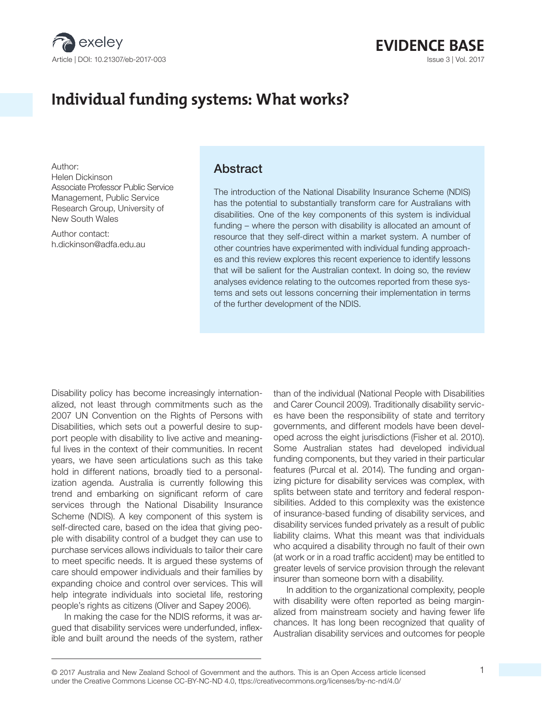

# **EVIDENCE BASE**

## Individual funding systems: What works?

Author: Helen Dickinson Associate Professor Public Service Management, Public Service Research Group, University of New South Wales

Author contact: h.dickinson@adfa.edu.au

#### **Abstract**

The introduction of the National Disability Insurance Scheme (NDIS) has the potential to substantially transform care for Australians with disabilities. One of the key components of this system is individual funding – where the person with disability is allocated an amount of resource that they self-direct within a market system. A number of other countries have experimented with individual funding approaches and this review explores this recent experience to identify lessons that will be salient for the Australian context. In doing so, the review analyses evidence relating to the outcomes reported from these systems and sets out lessons concerning their implementation in terms of the further development of the NDIS.

Disability policy has become increasingly internationalized, not least through commitments such as the 2007 UN Convention on the Rights of Persons with Disabilities, which sets out a powerful desire to support people with disability to live active and meaningful lives in the context of their communities. In recent years, we have seen articulations such as this take hold in different nations, broadly tied to a personalization agenda. Australia is currently following this trend and embarking on significant reform of care services through the National Disability Insurance Scheme (NDIS). A key component of this system is self-directed care, based on the idea that giving people with disability control of a budget they can use to purchase services allows individuals to tailor their care to meet specific needs. It is argued these systems of care should empower individuals and their families by expanding choice and control over services. This will help integrate individuals into societal life, restoring people's rights as citizens (Oliver and Sapey 2006).

In making the case for the NDIS reforms, it was argued that disability services were underfunded, inflexible and built around the needs of the system, rather than of the individual (National People with Disabilities and Carer Council 2009). Traditionally disability services have been the responsibility of state and territory governments, and different models have been developed across the eight jurisdictions (Fisher et al. 2010). Some Australian states had developed individual funding components, but they varied in their particular features (Purcal et al. 2014). The funding and organizing picture for disability services was complex, with splits between state and territory and federal responsibilities. Added to this complexity was the existence of insurance-based funding of disability services, and disability services funded privately as a result of public liability claims. What this meant was that individuals who acquired a disability through no fault of their own (at work or in a road traffic accident) may be entitled to greater levels of service provision through the relevant insurer than someone born with a disability.

In addition to the organizational complexity, people with disability were often reported as being marginalized from mainstream society and having fewer life chances. It has long been recognized that quality of Australian disability services and outcomes for people

<sup>© 2017</sup> Australia and New Zealand School of Government and the authors. This is an Open Access article licensed 1 under the Creative Commons License CC-BY-NC-ND 4.0, ttps://creativecommons.org/licenses/by-nc-nd/4.0/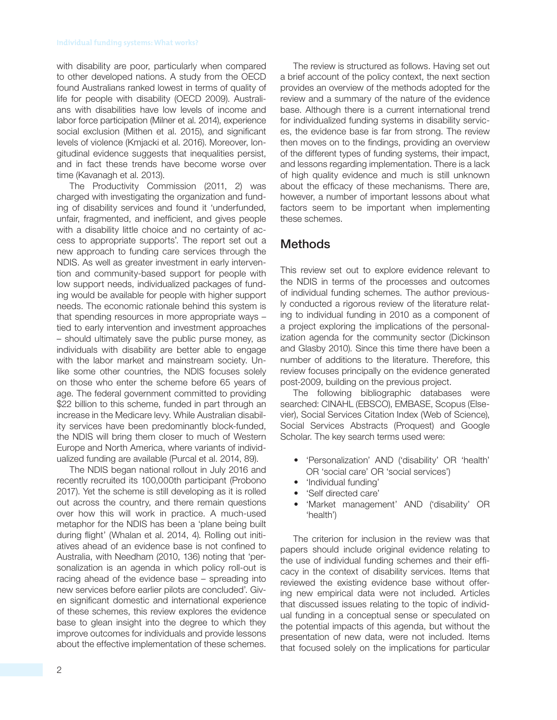with disability are poor, particularly when compared to other developed nations. A study from the OECD found Australians ranked lowest in terms of quality of life for people with disability (OECD 2009). Australians with disabilities have low levels of income and labor force participation (Milner et al. 2014), experience social exclusion (Mithen et al. 2015), and significant levels of violence (Kmjacki et al. 2016). Moreover, Iongitudinal evidence suggests that inequalities persist, and in fact these trends have become worse over time (Kavanagh et al. 2013).

The Productivity Commission (2011, 2) was charged with investigating the organization and funding of disability services and found it 'underfunded, unfair, fragmented, and inefficient, and gives people with a disability little choice and no certainty of access to appropriate supports'. The report set out a new approach to funding care services through the NDIS. As well as greater investment in early intervention and community-based support for people with low support needs, individualized packages of funding would be available for people with higher support needs. The economic rationale behind this system is that spending resources in more appropriate ways – tied to early intervention and investment approaches – should ultimately save the public purse money, as individuals with disability are better able to engage with the labor market and mainstream society. Unlike some other countries, the NDIS focuses solely on those who enter the scheme before 65 years of age. The federal government committed to providing \$22 billion to this scheme, funded in part through an increase in the Medicare levy. While Australian disability services have been predominantly block-funded, the NDIS will bring them closer to much of Western Europe and North America, where variants of individualized funding are available (Purcal et al. 2014, 89).

The NDIS began national rollout in July 2016 and recently recruited its 100,000th participant (Probono 2017). Yet the scheme is still developing as it is rolled out across the country, and there remain questions over how this will work in practice. A much-used metaphor for the NDIS has been a 'plane being built during flight' (Whalan et al. 2014, 4). Rolling out initiatives ahead of an evidence base is not confined to Australia, with Needham (2010, 136) noting that 'personalization is an agenda in which policy roll-out is racing ahead of the evidence base – spreading into new services before earlier pilots are concluded'. Given significant domestic and international experience of these schemes, this review explores the evidence base to glean insight into the degree to which they improve outcomes for individuals and provide lessons about the effective implementation of these schemes.

The review is structured as follows. Having set out a brief account of the policy context, the next section provides an overview of the methods adopted for the review and a summary of the nature of the evidence base. Although there is a current international trend for individualized funding systems in disability services, the evidence base is far from strong. The review then moves on to the findings, providing an overview of the different types of funding systems, their impact, and lessons regarding implementation. There is a lack of high quality evidence and much is still unknown about the efficacy of these mechanisms. There are, however, a number of important lessons about what factors seem to be important when implementing these schemes.

## Methods

This review set out to explore evidence relevant to the NDIS in terms of the processes and outcomes of individual funding schemes. The author previously conducted a rigorous review of the literature relating to individual funding in 2010 as a component of a project exploring the implications of the personalization agenda for the community sector (Dickinson and Glasby 2010). Since this time there have been a number of additions to the literature. Therefore, this review focuses principally on the evidence generated post-2009, building on the previous project.

The following bibliographic databases were searched: CINAHL (EBSCO), EMBASE, Scopus (Elsevier), Social Services Citation Index (Web of Science), Social Services Abstracts (Proquest) and Google Scholar. The key search terms used were:

- 'Personalization' AND ('disability' OR 'health' OR 'social care' OR 'social services')
- 'Individual funding'
- 'Self directed care'
- 'Market management' AND ('disability' OR 'health')

The criterion for inclusion in the review was that papers should include original evidence relating to the use of individual funding schemes and their efficacy in the context of disability services. Items that reviewed the existing evidence base without offering new empirical data were not included. Articles that discussed issues relating to the topic of individual funding in a conceptual sense or speculated on the potential impacts of this agenda, but without the presentation of new data, were not included. Items that focused solely on the implications for particular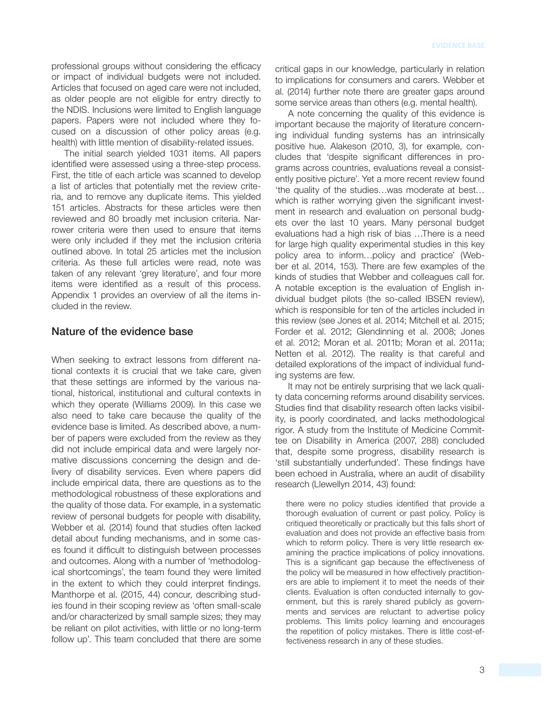professional groups without considering the efficacy or impact of individual budgets were not included. Articles that focused on aged care were not included, as older people are not eligible for entry directly to the NDIS. Inclusions were limited to English language papers. Papers were not included where they focused on a discussion of other policy areas (e.g. health) with little mention of disability-related issues.

The initial search yielded 1031 items. All papers identified were assessed using a three-step process. First, the title of each article was scanned to develop a list of articles that potentially met the review criteria, and to remove any duplicate items. This yielded 151 articles. Abstracts for these articles were then reviewed and 80 broadly met inclusion criteria. Narrower criteria were then used to ensure that items were only included if they met the inclusion criteria outlined above. In total 25 articles met the inclusion criteria. As these full articles were read, note was taken of any relevant 'grey literature', and four more items were identified as a result of this process. Appendix 1 provides an overview of all the items included in the review.

#### Nature of the evidence base

When seeking to extract lessons from different national contexts it is crucial that we take care, given that these settings are informed by the various national, historical, institutional and cultural contexts in which they operate (Williams 2009). In this case we also need to take care because the quality of the evidence base is limited. As described above, a number of papers were excluded from the review as they did not include empirical data and were largely normative discussions concerning the design and delivery of disability services. Even where papers did include empirical data, there are questions as to the methodological robustness of these explorations and the quality of those data. For example, in a systematic review of personal budgets for people with disability, Webber et al. (2014) found that studies often lacked detail about funding mechanisms, and in some cases found it difficult to distinguish between processes and outcomes. Along with a number of 'methodological shortcomings', the team found they were limited in the extent to which they could interpret findings. Manthorpe et al. (2015, 44) concur, describing studies found in their scoping review as 'often small-scale and/or characterized by small sample sizes; they may be reliant on pilot activities, with little or no long-term follow up'. This team concluded that there are some critical gaps in our knowledge, particularly in relation to implications for consumers and carers. Webber et al. (2014) further note there are greater gaps around some service areas than others (e.g. mental health).

A note concerning the quality of this evidence is important because the majority of literature concerning individual funding systems has an intrinsically positive hue. Alakeson (2010, 3), for example, concludes that 'despite significant differences in programs across countries, evaluations reveal a consistently positive picture'. Yet a more recent review found 'the quality of the studies…was moderate at best… which is rather worrying given the significant investment in research and evaluation on personal budgets over the last 10 years. Many personal budget evaluations had a high risk of bias …There is a need for large high quality experimental studies in this key policy area to inform...policy and practice' (Webber et al. 2014 , 153). There are few examples of the kinds of studies that Webber and colleagues call for. A notable exception is the evaluation of English individual budget pilots (the so-called IBSEN review), which is responsible for ten of the articles included in this review (see Jones et al. 2014; Mitchell et al. 2015; Forder et al. 2012; Glendinning et al. 2008; Jones et al. 2012; Moran et al. 2011b; Moran et al. 2011a; Netten et al. 2012). The reality is that careful and detailed explorations of the impact of individual funding systems are few.

It may not be entirely surprising that we lack quality data concerning reforms around disability services. Studies find that disability research often lacks visibility, is poorly coordinated, and lacks methodological rigor. A study from the Institute of Medicine Committee on Disability in America (2007, 288) concluded that, despite some progress, disability research is 'still substantially underfunded'. These findings have been echoed in Australia, where an audit of disability research (Llewellyn 2014, 43) found:

there were no policy studies identified that provide a thorough evaluation of current or past policy. Policy is critiqued theoretically or practically but this falls short of evaluation and does not provide an effective basis from which to reform policy. There is very little research examining the practice implications of policy innovations. This is a significant gap because the effectiveness of the policy will be measured in how effectively practitioners are able to implement it to meet the needs of their clients. Evaluation is often conducted internally to government, but this is rarely shared publicly as governments and services are reluctant to advertise policy problems. This limits policy learning and encourages the repetition of policy mistakes. There is little cost-effectiveness research in any of these studies.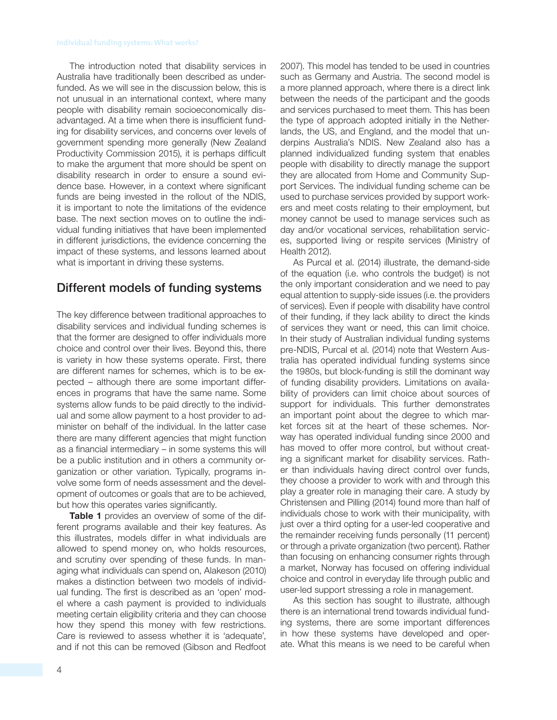The introduction noted that disability services in Australia have traditionally been described as underfunded. As we will see in the discussion below, this is not unusual in an international context, where many people with disability remain socioeconomically disadvantaged. At a time when there is insufficient funding for disability services, and concerns over levels of government spending more generally (New Zealand Productivity Commission 2015), it is perhaps difficult to make the argument that more should be spent on disability research in order to ensure a sound evidence base. However, in a context where significant funds are being invested in the rollout of the NDIS, it is important to note the limitations of the evidence base. The next section moves on to outline the individual funding initiatives that have been implemented in different jurisdictions, the evidence concerning the impact of these systems, and lessons learned about what is important in driving these systems.

## Different models of funding systems

The key difference between traditional approaches to disability services and individual funding schemes is that the former are designed to offer individuals more choice and control over their lives. Beyond this, there is variety in how these systems operate. First, there are different names for schemes, which is to be expected – although there are some important differences in programs that have the same name. Some systems allow funds to be paid directly to the individual and some allow payment to a host provider to administer on behalf of the individual. In the latter case there are many different agencies that might function as a financial intermediary – in some systems this will be a public institution and in others a community organization or other variation. Typically, programs involve some form of needs assessment and the development of outcomes or goals that are to be achieved, but how this operates varies significantly.

**Table 1** provides an overview of some of the different programs available and their key features. As this illustrates, models differ in what individuals are allowed to spend money on, who holds resources, and scrutiny over spending of these funds. In managing what individuals can spend on, Alakeson (2010) makes a distinction between two models of individual funding. The first is described as an 'open' model where a cash payment is provided to individuals meeting certain eligibility criteria and they can choose how they spend this money with few restrictions. Care is reviewed to assess whether it is 'adequate', and if not this can be removed (Gibson and Redfoot 2007). This model has tended to be used in countries such as Germany and Austria. The second model is a more planned approach, where there is a direct link between the needs of the participant and the goods and services purchased to meet them. This has been the type of approach adopted initially in the Netherlands, the US, and England, and the model that underpins Australia's NDIS. New Zealand also has a planned individualized funding system that enables people with disability to directly manage the support they are allocated from Home and Community Support Services. The individual funding scheme can be used to purchase services provided by support workers and meet costs relating to their employment, but money cannot be used to manage services such as day and/or vocational services, rehabilitation services, supported living or respite services (Ministry of Health 2012).

As Purcal et al. (2014) illustrate, the demand-side of the equation (i.e. who controls the budget) is not the only important consideration and we need to pay equal attention to supply-side issues (i.e. the providers of services). Even if people with disability have control of their funding, if they lack ability to direct the kinds of services they want or need, this can limit choice. In their study of Australian individual funding systems pre-NDIS, Purcal et al. (2014) note that Western Australia has operated individual funding systems since the 1980s, but block-funding is still the dominant way of funding disability providers. Limitations on availability of providers can limit choice about sources of support for individuals. This further demonstrates an important point about the degree to which market forces sit at the heart of these schemes. Norway has operated individual funding since 2000 and has moved to offer more control, but without creating a significant market for disability services. Rather than individuals having direct control over funds, they choose a provider to work with and through this play a greater role in managing their care. A study by Christensen and Pilling (2014) found more than half of individuals chose to work with their municipality, with just over a third opting for a user-led cooperative and the remainder receiving funds personally (11 percent) or through a private organization (two percent). Rather than focusing on enhancing consumer rights through a market, Norway has focused on offering individual choice and control in everyday life through public and user-led support stressing a role in management.

As this section has sought to illustrate, although there is an international trend towards individual funding systems, there are some important differences in how these systems have developed and operate. What this means is we need to be careful when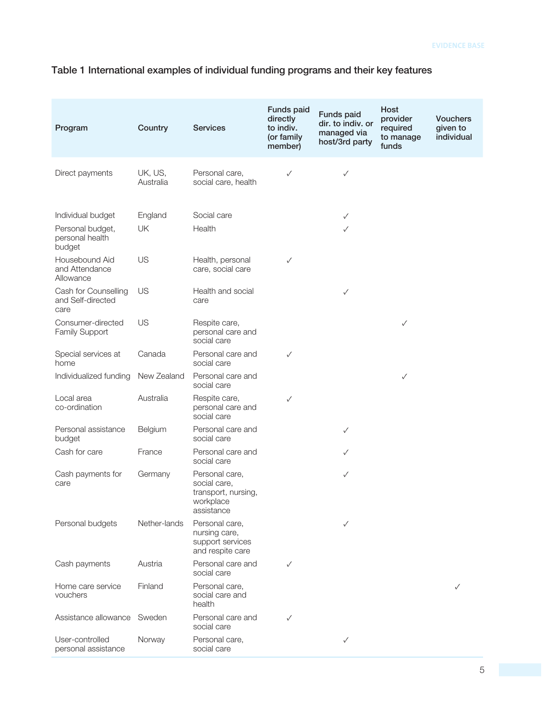## Table 1 International examples of individual funding programs and their key features

| Program                                                            | Country              | <b>Services</b>                                                                  | Funds paid<br>directly<br>to indiv.<br>(or family<br>member) | Funds paid<br>dir. to indiv. or<br>managed via<br>host/3rd party | Host<br>provider<br>required<br>to manage<br>funds | <b>Vouchers</b><br>given to<br>individual |
|--------------------------------------------------------------------|----------------------|----------------------------------------------------------------------------------|--------------------------------------------------------------|------------------------------------------------------------------|----------------------------------------------------|-------------------------------------------|
| Direct payments                                                    | UK, US,<br>Australia | Personal care,<br>social care, health                                            | ✓                                                            | $\checkmark$                                                     |                                                    |                                           |
| Individual budget<br>Personal budget,<br>personal health<br>budget | England<br>UK        | Social care<br>Health                                                            |                                                              | $\checkmark$<br>$\checkmark$                                     |                                                    |                                           |
| Housebound Aid<br>and Attendance<br>Allowance                      | US                   | Health, personal<br>care, social care                                            | ✓                                                            |                                                                  |                                                    |                                           |
| Cash for Counselling<br>and Self-directed<br>care                  | US                   | Health and social<br>care                                                        |                                                              | $\checkmark$                                                     |                                                    |                                           |
| Consumer-directed<br><b>Family Support</b>                         | US                   | Respite care,<br>personal care and<br>social care                                |                                                              |                                                                  | ✓                                                  |                                           |
| Special services at<br>home                                        | Canada               | Personal care and<br>social care                                                 | ✓                                                            |                                                                  |                                                    |                                           |
| Individualized funding                                             | New Zealand          | Personal care and<br>social care                                                 |                                                              |                                                                  | ✓                                                  |                                           |
| Local area<br>co-ordination                                        | Australia            | Respite care,<br>personal care and<br>social care                                | $\checkmark$                                                 |                                                                  |                                                    |                                           |
| Personal assistance<br>budget                                      | Belgium              | Personal care and<br>social care                                                 |                                                              | $\checkmark$                                                     |                                                    |                                           |
| Cash for care                                                      | France               | Personal care and<br>social care                                                 |                                                              | $\checkmark$                                                     |                                                    |                                           |
| Cash payments for<br>care                                          | Germany              | Personal care,<br>social care,<br>transport, nursing,<br>workplace<br>assistance |                                                              | $\checkmark$                                                     |                                                    |                                           |
| Personal budgets                                                   | Nether-lands         | Personal care,<br>nursing care,<br>support services<br>and respite care          |                                                              | ✓                                                                |                                                    |                                           |
| Cash payments                                                      | Austria              | Personal care and<br>social care                                                 | ✓                                                            |                                                                  |                                                    |                                           |
| Home care service<br>vouchers                                      | Finland              | Personal care,<br>social care and<br>health                                      |                                                              |                                                                  |                                                    | ✓                                         |
| Assistance allowance                                               | Sweden               | Personal care and<br>social care                                                 | ✓                                                            |                                                                  |                                                    |                                           |
| User-controlled<br>personal assistance                             | Norway               | Personal care,<br>social care                                                    |                                                              | ✓                                                                |                                                    |                                           |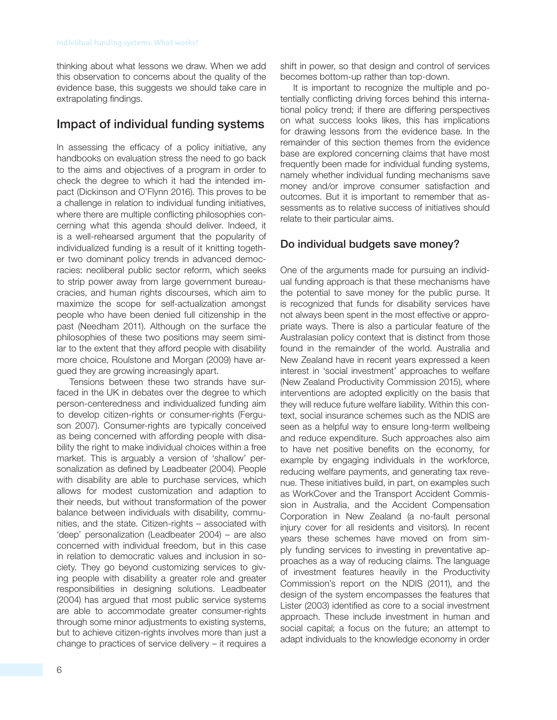thinking about what lessons we draw. When we add this observation to concerns about the quality of the evidence base, this suggests we should take care in extrapolating findings.

## Impact of individual funding systems

In assessing the efficacy of a policy initiative, any handbooks on evaluation stress the need to go back to the aims and objectives of a program in order to check the degree to which it had the intended impact (Dickinson and O'Flynn 2016). This proves to be a challenge in relation to individual funding initiatives, where there are multiple conflicting philosophies concerning what this agenda should deliver. Indeed, it is a well-rehearsed argument that the popularity of individualized funding is a result of it knitting together two dominant policy trends in advanced democracies: neoliberal public sector reform, which seeks to strip power away from large government bureaucracies, and human rights discourses, which aim to maximize the scope for self-actualization amongst people who have been denied full citizenship in the past (Needham 2011). Although on the surface the philosophies of these two positions may seem similar to the extent that they afford people with disability more choice, Roulstone and Morgan (2009) have argued they are growing increasingly apart.

Tensions between these two strands have surfaced in the UK in debates over the degree to which person-centeredness and individualized funding aim to develop citizen-rights or consumer-rights (Ferguson 2007). Consumer-rights are typically conceived as being concerned with affording people with disability the right to make individual choices within a free market. This is arguably a version of 'shallow' personalization as defined by Leadbeater (2004). People with disability are able to purchase services, which allows for modest customization and adaption to their needs, but without transformation of the power balance between individuals with disability, communities, and the state. Citizen-rights – associated with 'deep' personalization (Leadbeater 2004) – are also concerned with individual freedom, but in this case in relation to democratic values and inclusion in society. They go beyond customizing services to giving people with disability a greater role and greater responsibilities in designing solutions. Leadbeater (2004) has argued that most public service systems are able to accommodate greater consumer-rights through some minor adjustments to existing systems, but to achieve citizen-rights involves more than just a change to practices of service delivery – it requires a shift in power, so that design and control of services becomes bottom-up rather than top-down.

It is important to recognize the multiple and potentially conflicting driving forces behind this international policy trend; if there are differing perspectives on what success looks likes, this has implications for drawing lessons from the evidence base. In the remainder of this section themes from the evidence base are explored concerning claims that have most frequently been made for individual funding systems, namely whether individual funding mechanisms save money and/or improve consumer satisfaction and outcomes. But it is important to remember that assessments as to relative success of initiatives should relate to their particular aims.

## Do individual budgets save money?

One of the arguments made for pursuing an individual funding approach is that these mechanisms have the potential to save money for the public purse. It is recognized that funds for disability services have not always been spent in the most effective or appropriate ways. There is also a particular feature of the Australasian policy context that is distinct from those found in the remainder of the world. Australia and New Zealand have in recent years expressed a keen interest in 'social investment' approaches to welfare (New Zealand Productivity Commission 2015), where interventions are adopted explicitly on the basis that they will reduce future welfare liability. Within this context, social insurance schemes such as the NDIS are seen as a helpful way to ensure long-term wellbeing and reduce expenditure. Such approaches also aim to have net positive benefits on the economy, for example by engaging individuals in the workforce, reducing welfare payments, and generating tax revenue. These initiatives build, in part, on examples such as WorkCover and the Transport Accident Commission in Australia, and the Accident Compensation Corporation in New Zealand (a no-fault personal injury cover for all residents and visitors). In recent years these schemes have moved on from simply funding services to investing in preventative approaches as a way of reducing claims. The language of investment features heavily in the Productivity Commission's report on the NDIS (2011), and the design of the system encompasses the features that Lister (2003) identified as core to a social investment approach. These include investment in human and social capital; a focus on the future; an attempt to adapt individuals to the knowledge economy in order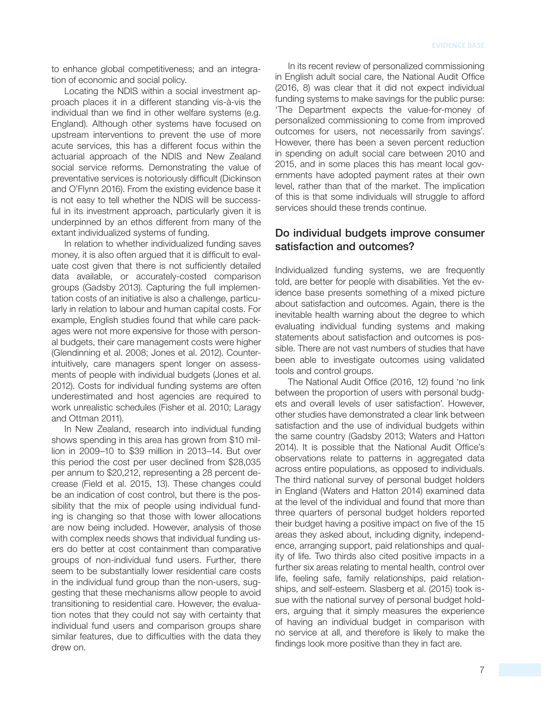to enhance global competitiveness; and an integration of economic and social policy.

Locating the NDIS within a social investment approach places it in a different standing vis-à-vis the individual than we find in other welfare systems (e.g. England). Although other systems have focused on upstream interventions to prevent the use of more acute services, this has a different focus within the actuarial approach of the NDIS and New Zealand social service reforms. Demonstrating the value of preventative services is notoriously difficult (Dickinson and O'Flynn 2016). From the existing evidence base it is not easy to tell whether the NDIS will be successful in its investment approach, particularly given it is underpinned by an ethos different from many of the extant individualized systems of funding.

In relation to whether individualized funding saves money, it is also often argued that it is difficult to evaluate cost given that there is not sufficiently detailed data available, or accurately-costed comparison groups (Gadsby 2013). Capturing the full implementation costs of an initiative is also a challenge, particularly in relation to labour and human capital costs. For example, English studies found that while care packages were not more expensive for those with personal budgets, their care management costs were higher (Glendinning et al. 2008; Jones et al. 2012). Counterintuitively, care managers spent longer on assessments of people with individual budgets (Jones et al. 2012). Costs for individual funding systems are often underestimated and host agencies are required to work unrealistic schedules (Fisher et al. 2010; Laragy and Ottman 2011).

In New Zealand, research into individual funding shows spending in this area has grown from \$10 million in 2009–10 to \$39 million in 2013–14. But over this period the cost per user declined from \$28,035 per annum to \$20,212, representing a 28 percent decrease (Field et al. 2015, 13). These changes could be an indication of cost control, but there is the possibility that the mix of people using individual funding is changing so that those with lower allocations are now being included. However, analysis of those with complex needs shows that individual funding users do better at cost containment than comparative groups of non-individual fund users. Further, there seem to be substantially lower residential care costs in the individual fund group than the non-users, suggesting that these mechanisms allow people to avoid transitioning to residential care. However, the evaluation notes that they could not say with certainty that individual fund users and comparison groups share similar features, due to difficulties with the data they drew on.

In its recent review of personalized commissioning in English adult social care, the National Audit Office (2016, 8) was clear that it did not expect individual funding systems to make savings for the public purse: 'The Department expects the value-for-money of personalized commissioning to come from improved outcomes for users, not necessarily from savings'. However, there has been a seven percent reduction in spending on adult social care between 2010 and 2015, and in some places this has meant local governments have adopted payment rates at their own level, rather than that of the market. The implication of this is that some individuals will struggle to afford services should these trends continue.

#### Do individual budgets improve consumer satisfaction and outcomes?

Individualized funding systems, we are frequently told, are better for people with disabilities. Yet the evidence base presents something of a mixed picture about satisfaction and outcomes. Again, there is the inevitable health warning about the degree to which evaluating individual funding systems and making statements about satisfaction and outcomes is possible. There are not vast numbers of studies that have been able to investigate outcomes using validated tools and control groups.

The National Audit Office (2016, 12) found 'no link between the proportion of users with personal budgets and overall levels of user satisfaction'. However, other studies have demonstrated a clear link between satisfaction and the use of individual budgets within the same country (Gadsby 2013; Waters and Hatton 2014). It is possible that the National Audit Office's observations relate to patterns in aggregated data across entire populations, as opposed to individuals. The third national survey of personal budget holders in England (Waters and Hatton 2014) examined data at the level of the individual and found that more than three quarters of personal budget holders reported their budget having a positive impact on five of the 15 areas they asked about, including dignity, independence, arranging support, paid relationships and quality of life. Two thirds also cited positive impacts in a further six areas relating to mental health, control over life, feeling safe, family relationships, paid relationships, and self-esteem. Slasberg et al. (2015) took issue with the national survey of personal budget holders, arguing that it simply measures the experience of having an individual budget in comparison with no service at all, and therefore is likely to make the findings look more positive than they in fact are.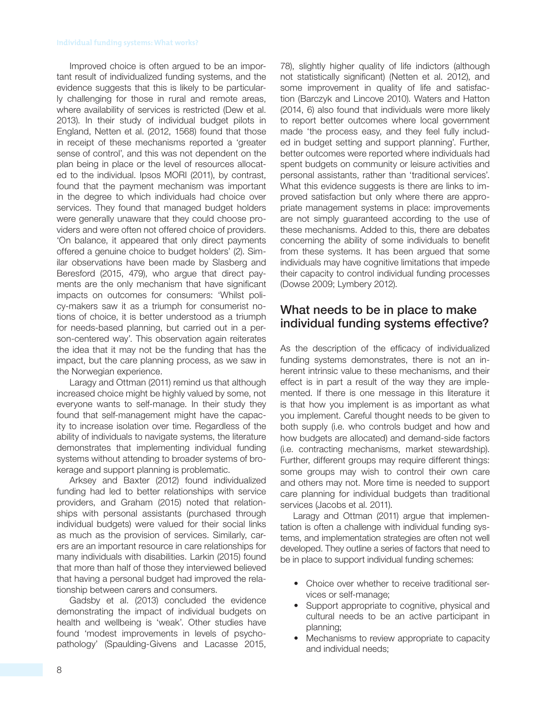Improved choice is often argued to be an important result of individualized funding systems, and the evidence suggests that this is likely to be particularly challenging for those in rural and remote areas, where availability of services is restricted (Dew et al. 2013). In their study of individual budget pilots in England, Netten et al. (2012, 1568) found that those in receipt of these mechanisms reported a 'greater sense of control', and this was not dependent on the plan being in place or the level of resources allocated to the individual. Ipsos MORI (2011), by contrast, found that the payment mechanism was important in the degree to which individuals had choice over services. They found that managed budget holders were generally unaware that they could choose providers and were often not offered choice of providers. 'On balance, it appeared that only direct payments offered a genuine choice to budget holders' (2). Similar observations have been made by Slasberg and Beresford (2015, 479), who argue that direct payments are the only mechanism that have significant impacts on outcomes for consumers: 'Whilst policy-makers saw it as a triumph for consumerist notions of choice, it is better understood as a triumph for needs-based planning, but carried out in a person-centered way'. This observation again reiterates the idea that it may not be the funding that has the impact, but the care planning process, as we saw in the Norwegian experience.

Laragy and Ottman (2011) remind us that although increased choice might be highly valued by some, not everyone wants to self-manage. In their study they found that self-management might have the capacity to increase isolation over time. Regardless of the ability of individuals to navigate systems, the literature demonstrates that implementing individual funding systems without attending to broader systems of brokerage and support planning is problematic.

Arksey and Baxter (2012) found individualized funding had led to better relationships with service providers, and Graham (2015) noted that relationships with personal assistants (purchased through individual budgets) were valued for their social links as much as the provision of services. Similarly, carers are an important resource in care relationships for many individuals with disabilities. Larkin (2015) found that more than half of those they interviewed believed that having a personal budget had improved the relationship between carers and consumers.

Gadsby et al. (2013) concluded the evidence demonstrating the impact of individual budgets on health and wellbeing is 'weak'. Other studies have found 'modest improvements in levels of psychopathology' (Spaulding-Givens and Lacasse 2015, 78), slightly higher quality of life indictors (although not statistically significant) (Netten et al. 2012), and some improvement in quality of life and satisfaction (Barczyk and Lincove 2010). Waters and Hatton  $(2014, 6)$  also found that individuals were more likely to report better outcomes where local government made 'the process easy, and they feel fully included in budget setting and support planning'. Further, better outcomes were reported where individuals had spent budgets on community or leisure activities and personal assistants, rather than 'traditional services'. What this evidence suggests is there are links to improved satisfaction but only where there are appropriate management systems in place: improvements are not simply guaranteed according to the use of these mechanisms. Added to this, there are debates concerning the ability of some individuals to benefit from these systems. It has been argued that some individuals may have cognitive limitations that impede their capacity to control individual funding processes (Dowse 2009; Lymbery 2012).

## What needs to be in place to make individual funding systems effective?

As the description of the efficacy of individualized funding systems demonstrates, there is not an inherent intrinsic value to these mechanisms, and their effect is in part a result of the way they are implemented. If there is one message in this literature it is that how you implement is as important as what you implement. Careful thought needs to be given to both supply (i.e. who controls budget and how and how budgets are allocated) and demand-side factors (i.e. contracting mechanisms, market stewardship). Further, different groups may require different things: some groups may wish to control their own care and others may not. More time is needed to support care planning for individual budgets than traditional services (Jacobs et al. 2011).

Laragy and Ottman (2011) argue that implementation is often a challenge with individual funding systems, and implementation strategies are often not well developed. They outline a series of factors that need to be in place to support individual funding schemes:

- Choice over whether to receive traditional services or self-manage;
- Support appropriate to cognitive, physical and cultural needs to be an active participant in planning;
- Mechanisms to review appropriate to capacity and individual needs;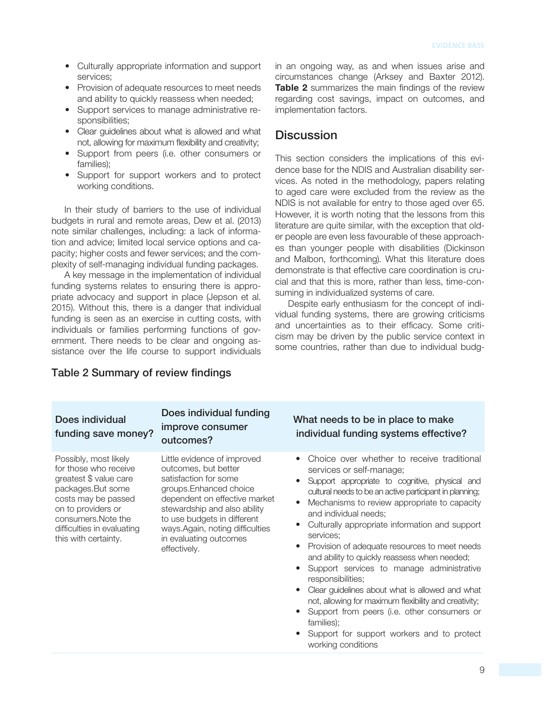- Culturally appropriate information and support services;
- Provision of adequate resources to meet needs and ability to quickly reassess when needed;
- Support services to manage administrative responsibilities;
- Clear guidelines about what is allowed and what not, allowing for maximum flexibility and creativity;
- Support from peers (i.e. other consumers or families);
- Support for support workers and to protect working conditions.

In their study of barriers to the use of individual budgets in rural and remote areas, Dew et al. (2013) note similar challenges, including: a lack of information and advice; limited local service options and capacity; higher costs and fewer services; and the complexity of self-managing individual funding packages.

A key message in the implementation of individual funding systems relates to ensuring there is appropriate advocacy and support in place (Jepson et al. 2015). Without this, there is a danger that individual funding is seen as an exercise in cutting costs, with individuals or families performing functions of government. There needs to be clear and ongoing assistance over the life course to support individuals in an ongoing way, as and when issues arise and circumstances change (Arksey and Baxter 2012). **Table 2** summarizes the main findings of the review regarding cost savings, impact on outcomes, and implementation factors.

#### **Discussion**

This section considers the implications of this evidence base for the NDIS and Australian disability services. As noted in the methodology, papers relating to aged care were excluded from the review as the NDIS is not available for entry to those aged over 65. However, it is worth noting that the lessons from this literature are quite similar, with the exception that older people are even less favourable of these approaches than younger people with disabilities (Dickinson and Malbon, forthcoming). What this literature does demonstrate is that effective care coordination is crucial and that this is more, rather than less, time-consuming in individualized systems of care.

Despite early enthusiasm for the concept of individual funding systems, there are growing criticisms and uncertainties as to their efficacy. Some criticism may be driven by the public service context in some countries, rather than due to individual budg-

| Does individual<br>funding save money?                                                                                                                                                                                  | Does individual funding<br>improve consumer<br>outcomes?                                                                                                                                                                                                                            | What needs to be in place to make<br>individual funding systems effective?                                                                                                                                                                                                                                                                                                                                                                                                                                                                                                                                                                                                                                                                                                                                   |
|-------------------------------------------------------------------------------------------------------------------------------------------------------------------------------------------------------------------------|-------------------------------------------------------------------------------------------------------------------------------------------------------------------------------------------------------------------------------------------------------------------------------------|--------------------------------------------------------------------------------------------------------------------------------------------------------------------------------------------------------------------------------------------------------------------------------------------------------------------------------------------------------------------------------------------------------------------------------------------------------------------------------------------------------------------------------------------------------------------------------------------------------------------------------------------------------------------------------------------------------------------------------------------------------------------------------------------------------------|
| Possibly, most likely<br>for those who receive<br>greatest \$ value care<br>packages.But some<br>costs may be passed<br>on to providers or<br>consumers. Note the<br>difficulties in evaluating<br>this with certainty. | Little evidence of improved<br>outcomes, but better<br>satisfaction for some<br>groups.Enhanced choice<br>dependent on effective market<br>stewardship and also ability<br>to use budgets in different<br>ways.Again, noting difficulties<br>in evaluating outcomes<br>effectively. | Choice over whether to receive traditional<br>$\bullet$<br>services or self-manage;<br>Support appropriate to cognitive, physical and<br>cultural needs to be an active participant in planning;<br>Mechanisms to review appropriate to capacity<br>$\bullet$<br>and individual needs;<br>Culturally appropriate information and support<br>$\bullet$<br>services;<br>Provision of adequate resources to meet needs<br>$\bullet$<br>and ability to quickly reassess when needed;<br>Support services to manage administrative<br>responsibilities;<br>Clear guidelines about what is allowed and what<br>$\bullet$<br>not, allowing for maximum flexibility and creativity;<br>Support from peers (i.e. other consumers or<br>families);<br>Support for support workers and to protect<br>working conditions |

#### Table 2 Summary of review findings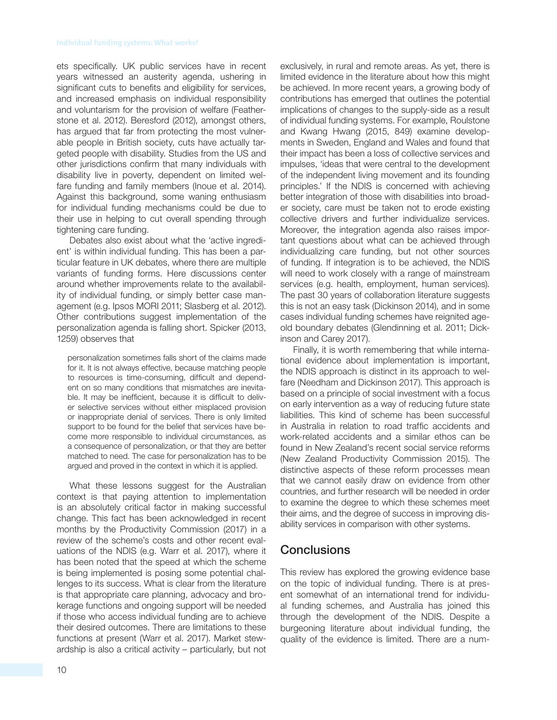ets specifically. UK public services have in recent years witnessed an austerity agenda, ushering in significant cuts to benefits and eligibility for services, and increased emphasis on individual responsibility and voluntarism for the provision of welfare (Featherstone et al. 2012). Beresford (2012), amongst others, has argued that far from protecting the most vulnerable people in British society, cuts have actually targeted people with disability. Studies from the US and other jurisdictions confirm that many individuals with disability live in poverty, dependent on limited welfare funding and family members (Inoue et al. 2014). Against this background, some waning enthusiasm for individual funding mechanisms could be due to their use in helping to cut overall spending through tightening care funding.

Debates also exist about what the 'active ingredient' is within individual funding. This has been a particular feature in UK debates, where there are multiple variants of funding forms. Here discussions center around whether improvements relate to the availability of individual funding, or simply better case management (e.g. Ipsos MORI 2011; Slasberg et al. 2012). Other contributions suggest implementation of the personalization agenda is falling short. Spicker (2013, 1259) observes that

personalization sometimes falls short of the claims made for it. It is not always effective, because matching people to resources is time-consuming, difficult and dependent on so many conditions that mismatches are inevitable. It may be inefficient, because it is difficult to deliver selective services without either misplaced provision or inappropriate denial of services. There is only limited support to be found for the belief that services have become more responsible to individual circumstances, as a consequence of personalization, or that they are better matched to need. The case for personalization has to be argued and proved in the context in which it is applied.

What these lessons suggest for the Australian context is that paying attention to implementation is an absolutely critical factor in making successful change. This fact has been acknowledged in recent months by the Productivity Commission (2017) in a review of the scheme's costs and other recent evaluations of the NDIS (e.g. Warr et al. 2017), where it has been noted that the speed at which the scheme is being implemented is posing some potential challenges to its success. What is clear from the literature is that appropriate care planning, advocacy and brokerage functions and ongoing support will be needed if those who access individual funding are to achieve their desired outcomes. There are limitations to these functions at present (Warr et al. 2017). Market stewardship is also a critical activity – particularly, but not exclusively, in rural and remote areas. As yet, there is limited evidence in the literature about how this might be achieved. In more recent years, a growing body of contributions has emerged that outlines the potential implications of changes to the supply-side as a result of individual funding systems. For example, Roulstone and Kwang Hwang (2015, 849) examine developments in Sweden, England and Wales and found that their impact has been a loss of collective services and impulses, 'ideas that were central to the development of the independent living movement and its founding principles.' If the NDIS is concerned with achieving better integration of those with disabilities into broader society, care must be taken not to erode existing collective drivers and further individualize services. Moreover, the integration agenda also raises important questions about what can be achieved through individualizing care funding, but not other sources of funding. If integration is to be achieved, the NDIS will need to work closely with a range of mainstream services (e.g. health, employment, human services). The past 30 years of collaboration literature suggests this is not an easy task (Dickinson 2014), and in some cases individual funding schemes have reignited ageold boundary debates (Glendinning et al. 2011; Dickinson and Carey 2017).

Finally, it is worth remembering that while international evidence about implementation is important, the NDIS approach is distinct in its approach to welfare (Needham and Dickinson 2017). This approach is based on a principle of social investment with a focus on early intervention as a way of reducing future state liabilities. This kind of scheme has been successful in Australia in relation to road traffic accidents and work-related accidents and a similar ethos can be found in New Zealand's recent social service reforms (New Zealand Productivity Commission 2015). The distinctive aspects of these reform processes mean that we cannot easily draw on evidence from other countries, and further research will be needed in order to examine the degree to which these schemes meet their aims, and the degree of success in improving disability services in comparison with other systems.

## **Conclusions**

This review has explored the growing evidence base on the topic of individual funding. There is at present somewhat of an international trend for individual funding schemes, and Australia has joined this through the development of the NDIS. Despite a burgeoning literature about individual funding, the quality of the evidence is limited. There are a num-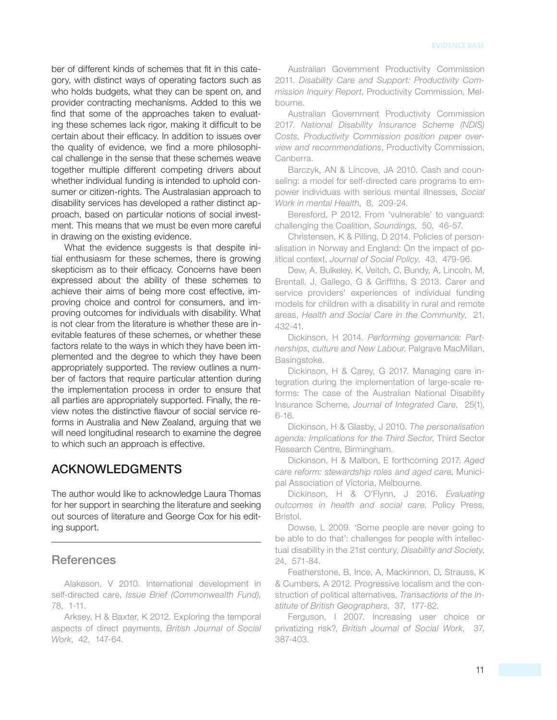ber of different kinds of schemes that fit in this category, with distinct ways of operating factors such as who holds budgets, what they can be spent on, and provider contracting mechanisms. Added to this we find that some of the approaches taken to evaluating these schemes lack rigor, making it difficult to be certain about their efficacy. In addition to issues over the quality of evidence, we find a more philosophical challenge in the sense that these schemes weave together multiple different competing drivers about whether individual funding is intended to uphold consumer or citizen-rights. The Australasian approach to disability services has developed a rather distinct approach, based on particular notions of social investment. This means that we must be even more careful in drawing on the existing evidence.

What the evidence suggests is that despite initial enthusiasm for these schemes, there is growing skepticism as to their efficacy. Concerns have been expressed about the ability of these schemes to achieve their aims of being more cost effective, improving choice and control for consumers, and improving outcomes for individuals with disability. What is not clear from the literature is whether these are inevitable features of these schemes, or whether these factors relate to the ways in which they have been implemented and the degree to which they have been appropriately supported. The review outlines a number of factors that require particular attention during the implementation process in order to ensure that all parties are appropriately supported. Finally, the review notes the distinctive flavour of social service reforms in Australia and New Zealand, arguing that we will need longitudinal research to examine the degree to which such an approach is effective.

## ACKNOWLEDGMENTS

The author would like to acknowledge Laura Thomas for her support in searching the literature and seeking out sources of literature and George Cox for his editing support.

#### **References**

Alakeson, V 2010. International development in self-directed care, Issue Brief (Commonwealth Fund), 78, 1-11.

Arksey, H & Baxter, K 2012. Exploring the temporal aspects of direct payments, British Journal of Social Work, 42, 147-64.

Australian Government Productivity Commission 2011. Disability Care and Support: Productivity Commission Inquiry Report, Productivity Commission, Melbourne.

Australian Government Productivity Commission 2017. National Disability Insurance Scheme (NDIS) Costs, Productivity Commission position paper overview and recommendations, Productivity Commission, Canberra.

Barczyk, AN & Lincove, JA 2010. Cash and counseling: a model for self-directed care programs to empower individuas with serious mental illnesses, Social Work in mental Health, 8, 209-24.

Beresford, P 2012. From 'vulnerable' to vanguard: challenging the Coalition, Soundings, 50, 46-57.

Christensen, K & Pilling, D 2014. Policies of personalisation in Norway and England: On the impact of political context, Journal of Social Policy, 43, 479-96.

Dew, A, Bulkeley, K, Veitch, C, Bundy, A, Lincoln, M, Brentall, J. Gallego, G & Griffiths, S 2013. Carer and service providers' experiences of individual funding models for children with a disability in rural and remote areas, Health and Social Care in the Community, 21, 432-41.

Dickinson, H 2014. Performing governance: Partnerships, culture and New Labour, Palgrave MacMillan, Basingstoke.

Dickinson, H & Carey, G 2017. Managing care integration during the implementation of large-scale reforms: The case of the Australian National Disability Insurance Scheme, Journal of Integrated Care, 25(1),  $6 - 16.$ 

Dickinson, H & Glasby, J 2010. The personalisation agenda: Implications for the Third Sector, Third Sector Research Centre, Birmingham.

Dickinson, H & Malbon, E forthcoming 2017. Aged care reform: stewardship roles and aged care, Municipal Association of Victoria, Melbourne.

Dickinson, H & O'Flynn, J 2016. Evaluating outcomes in health and social care, Policy Press, Bristol.

Dowse, L 2009. 'Some people are never going to be able to do that': challenges for people with intellectual disability in the 21st century, Disability and Society, 24, 571-84.

Featherstone, B, Ince, A, Mackinnon, D, Strauss, K & Cumbers , A 2012 . Progressive localism and the construction of political alternatives, Transactions of the Institute of British Geographers, 37, 177-82.

Ferguson, I 2007. Increasing user choice or privatizing risk?, British Journal of Social Work, 37, 387-403.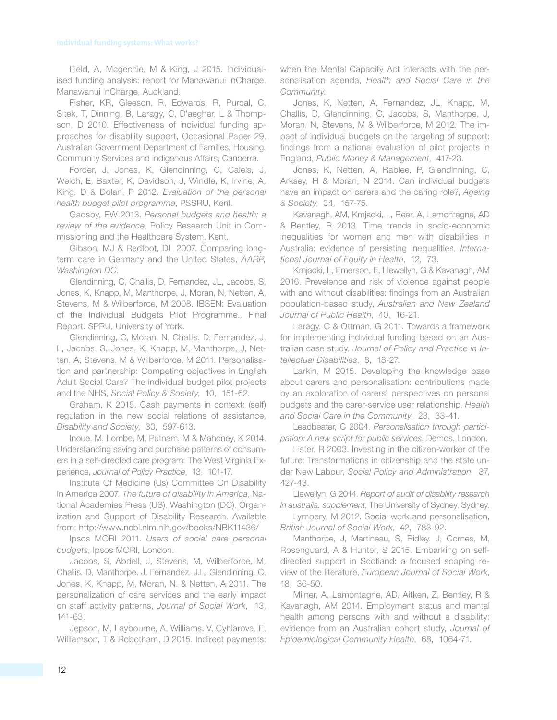Field, A, Mcgechie, M & King, J 2015. Individualised funding analysis: report for Manawanui InCharge. Manawanui InCharge, Auckland.

Fisher, KR, Gleeson, R, Edwards, R, Purcal, C, Sitek, T, Dinning, B, Laragy, C, D'aegher, L & Thompson, D 2010. Effectiveness of individual funding approaches for disability support, Occasional Paper 29, Australian Government Department of Families, Housing, Community Services and Indigenous Affairs, Canberra .

Forder, J, Jones, K, Glendinning, C, Caiels, J, Welch, E, Baxter, K, Davidson, J, Windle, K, Irvine, A, King, D & Dolan, P 2012. Evaluation of the personal health budget pilot programme, PSSRU, Kent.

Gadsby, EW 2013. Personal budgets and health: a review of the evidence, Policy Research Unit in Commissioning and the Healthcare System, Kent.

Gibson, MJ & Redfoot, DL 2007. Comparing longterm care in Germany and the United States, AARP, Washington DC.

Glendinning, C, Challis, D, Fernandez, JL, Jacobs, S, Jones, K, Knapp, M, Manthorpe, J, Moran, N, Netten, A, Stevens, M & Wilberforce, M 2008. IBSEN: Evaluation of the Individual Budgets Pilot Programme., Final Report. SPRU, University of York .

Glendinning, C, Moran, N, Challis, D, Fernandez, J. L, Jacobs, S, Jones, K, Knapp, M, Manthorpe, J, Netten, A, Stevens, M & Wilberforce, M 2011. Personalisation and partnership: Competing objectives in English Adult Social Care? The individual budget pilot projects and the NHS, Social Policy & Society, 10, 151-62.

Graham, K 2015. Cash payments in context: (self) regulation in the new social relations of assistance, Disability and Society, 30, 597-613.

Inoue, M, Lombe, M, Putnam, M & Mahoney, K 2014. Understanding saving and purchase patterns of consumers in a self-directed care program: The West Virginia Experience, Journal of Policy Practice, 13, 101-17.

Institute Of Medicine (Us) Committee On Disability In America 2007. The future of disability in America, National Academies Press (US), Washington (DC), Organization and Support of Disability Research. Available from: http://www.ncbi.nlm.nih.gov/books/NBK11436/

Ipsos MORI 2011. Users of social care personal budgets, Ipsos MORI, London.

Jacobs, S, Abdell, J, Stevens, M, Wilberforce, M, Challis, D, Manthorpe, J, Fernandez, J.L, Glendinning, C, Jones, K, Knapp, M, Moran, N. & Netten, A 2011. The personalization of care services and the early impact on staff activity patterns, Journal of Social Work, 13, 141-63.

Jepson, M, Laybourne, A, Williams, V, Cyhlarova, E, Williamson, T & Robotham, D 2015. Indirect payments: when the Mental Capacity Act interacts with the personalisation agenda, Health and Social Care in the Community.

Jones, K, Netten, A, Fernandez, JL, Knapp, M, Challis, D, Glendinning, C, Jacobs, S, Manthorpe, J, Moran, N, Stevens, M & Wilberforce, M 2012. The impact of individual budgets on the targeting of support: findings from a national evaluation of pilot projects in England, Public Money & Management, 417-23.

Jones, K, Netten, A, Rabiee, P, Glendinning, C, Arksey, H & Moran, N 2014. Can individual budgets have an impact on carers and the caring role?, Ageing & Society, 34, 157-75.

Kavanagh, AM, Kmjacki, L, Beer, A, Lamontagne, AD & Bentley, R 2013. Time trends in socio-economic inequalities for women and men with disabilities in Australia: evidence of persisting inequalities, International Journal of Equity in Health, 12, 73.

Kmjacki, L, Emerson, E, Llewellyn, G & Kavanagh, AM 2016. Prevelence and risk of violence against people with and without disabilities: findings from an Australian population-based study, Australian and New Zealand Journal of Public Health, 40, 16-21.

Laragy, C & Ottman, G 2011. Towards a framework for implementing individual funding based on an Australian case study, Journal of Policy and Practice in Intellectual Disabilities, 8, 18-27.

Larkin, M 2015. Developing the knowledge base about carers and personalisation: contributions made by an exploration of carers' perspectives on personal budgets and the carer-service user relationship, Health and Social Care in the Community, 23, 33-41.

Leadbeater, C 2004. Personalisation through participation: A new script for public services, Demos, London.

Lister, R 2003. Investing in the citizen-worker of the future: Transformations in citizenship and the state under New Labour, Social Policy and Administration, 37, 427 - 43 .

Llewellyn, G 2014. Report of audit of disability research in australia. supplement, The University of Sydney, Sydney.

Lymbery, M 2012. Social work and personalisation, British Journal of Social Work, 42, 783-92.

Manthorpe, J, Martineau, S, Ridley, J, Cornes, M, Rosenguard, A & Hunter, S 2015. Embarking on selfdirected support in Scotland: a focused scoping review of the literature, European Journal of Social Work, 18. 36-50.

Milner, A, Lamontagne, AD, Aitken, Z, Bentley, R & Kavanagh, AM 2014. Employment status and mental health among persons with and without a disability: evidence from an Australian cohort study, Journal of Epidemiological Community Health, 68, 1064-71.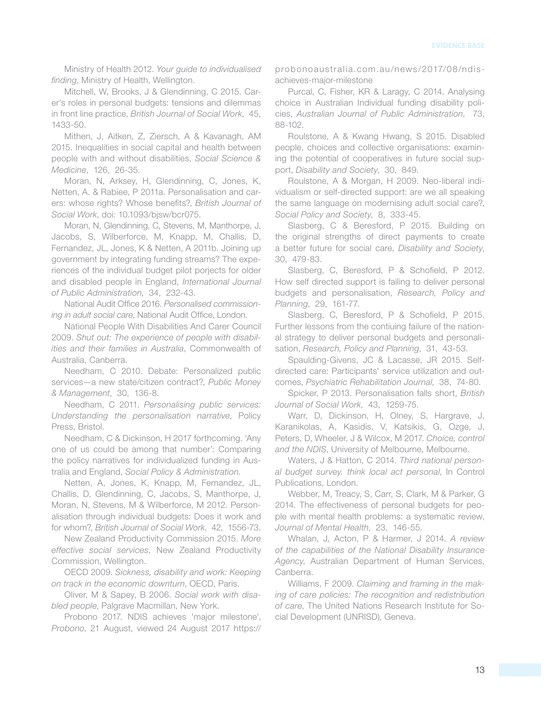Ministry of Health 2012. Your guide to individualised finding, Ministry of Health, Wellington.

Mitchell, W, Brooks, J & Glendinning, C 2015. Carer's roles in personal budgets: tensions and dilemmas in front line practice, British Journal of Social Work, 45, 1433-50.

Mithen, J. Aitken, Z. Ziersch, A & Kavanagh, AM 2015 . Inequalities in social capital and health between people with and without disabilities, Social Science & Medicine, 126, 26-35.

Moran, N, Arksey, H, Glendinning, C, Jones, K, Netten, A. & Rabiee, P 2011a. Personalisation and carers: whose rights? Whose benefits?, British Journal of Social Work, doi: 10.1093/bjsw/bcr075.

Moran, N, Glendinning, C, Stevens, M, Manthorpe, J, Jacobs, S, Wilberforce, M, Knapp, M, Challis, D, Fernandez, JL, Jones, K & Netten, A 2011b. Joining up government by integrating funding streams? The experiences of the individual budget pilot porjects for older and disabled people in England, International Journal of Public Administration, 34, 232-43.

National Audit Office 2016 . Personalised commissioning in adult social care, National Audit Office, London.

National People With Disabilities And Carer Council 2009. Shut out: The experience of people with disabilities and their families in Australia, Commonwealth of Australia, Canberra.

Needham, C 2010. Debate: Personalized public services-a new state/citizen contract?, Public Money & Management, 30, 136-8.

Needham, C 2011. Personalising public services: Understanding the personalisation narrative, Policy Press, Bristol.

Needham, C & Dickinson, H 2017 forthcoming. 'Any one of us could be among that number': Comparing the policy narratives for individualized funding in Australia and England, Social Policy & Administration.

Netten, A, Jones, K, Knapp, M, Fernandez, JL, Challis, D, Glendinning, C, Jacobs, S, Manthorpe, J, Moran, N, Stevens, M & Wilberforce, M 2012. Personalisation through individual budgets: Does it work and for whom?, British Journal of Social Work, 42, 1556-73.

New Zealand Productivity Commission 2015 . More effective social services, New Zealand Productivity Commission, Wellington.

OECD 2009. Sickness, disability and work: Keeping on track in the economic downturn, OECD, Paris.

Oliver, M & Sapey, B 2006. Social work with disabled people, Palgrave Macmillan, New York.

Probono 2017. NDIS achieves 'major milestone', Probono, 21 August, viewed 24 August 2017 https:// probonoaustralia.com.au/news/2017/08/ndisachieves-major-milestone

Purcal, C, Fisher, KR & Laragy, C 2014. Analysing choice in Australian Individual funding disability policies, Australian Journal of Public Administration, 73, 88-102.

Roulstone, A & Kwang Hwang, S 2015. Disabled people, choices and collective organisations: examining the potential of cooperatives in future social support, Disability and Society, 30, 849.

Roulstone, A & Morgan, H 2009. Neo-liberal individualism or self-directed support: are we all speaking the same language on modernising adult social care?, Social Policy and Society, 8, 333-45.

Slasberg, C & Beresford, P 2015. Building on the original strengths of direct payments to create a better future for social care, Disability and Society, 30, 479-83.

Slasberg, C, Beresford, P & Schofield, P 2012. How self directed support is failing to deliver personal budgets and personalisation, Research, Policy and Planning, 29, 161-77.

Slasberg, C, Beresford, P & Schofield, P 2015. Further lessons from the contiuing failure of the national strategy to deliver personal budgets and personalisation, Research, Policy and Planning, 31, 43-53.

Spaulding-Givens, JC & Lacasse, JR 2015. Selfdirected care: Participants' service utilization and outcomes, Psychiatric Rehabilitation Journal, 38, 74-80.

Spicker, P 2013. Personalisation falls short, British Journal of Social Work, 43, 1259-75.

Warr, D, Dickinson, H, Olney, S, Hargrave, J, Karanikolas, A, Kasidis, V, Katsikis, G, Ozge, J, Peters, D, Wheeler, J & Wilcox, M 2017. Choice, control and the NDIS, University of Melbourne, Melbourne.

Waters, J & Hatton, C 2014. Third national personal budget survey. think local act personal, In Control Publications, London.

Webber, M, Treacy, S, Carr, S, Clark, M & Parker, G 2014. The effectiveness of personal budgets for people with mental health problems: a systematic review, Journal of Mental Health, 23, 146-55.

Whalan, J, Acton, P & Harmer, J 2014. A review of the capabilities of the National Disability Insurance Agency, Australian Department of Human Services, Canberra.

Williams, F 2009. Claiming and framing in the making of care policies: The recognition and redistribution of care, The United Nations Research Institute for Social Development (UNRISD), Geneva.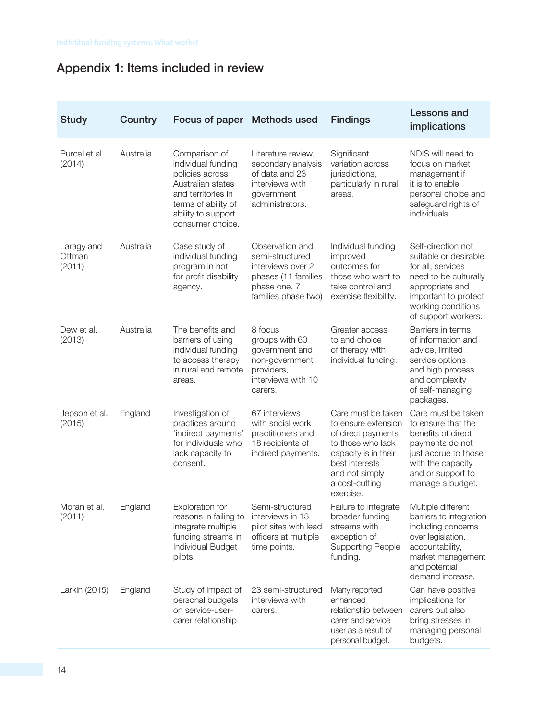## Appendix 1: Items included in review

| <b>Study</b>                   | Country   | Focus of paper                                                                                                                                                     | <b>Methods used</b>                                                                                                   | <b>Findings</b>                                                                                                                                                                 | Lessons and<br>implications                                                                                                                                                       |
|--------------------------------|-----------|--------------------------------------------------------------------------------------------------------------------------------------------------------------------|-----------------------------------------------------------------------------------------------------------------------|---------------------------------------------------------------------------------------------------------------------------------------------------------------------------------|-----------------------------------------------------------------------------------------------------------------------------------------------------------------------------------|
| Purcal et al.<br>(2014)        | Australia | Comparison of<br>individual funding<br>policies across<br>Australian states<br>and territories in<br>terms of ability of<br>ability to support<br>consumer choice. | Literature review,<br>secondary analysis<br>of data and 23<br>interviews with<br>government<br>administrators.        | Significant<br>variation across<br>jurisdictions,<br>particularly in rural<br>areas.                                                                                            | NDIS will need to<br>focus on market<br>management if<br>it is to enable<br>personal choice and<br>safeguard rights of<br>individuals.                                            |
| Laragy and<br>Ottman<br>(2011) | Australia | Case study of<br>individual funding<br>program in not<br>for profit disability<br>agency.                                                                          | Observation and<br>semi-structured<br>interviews over 2<br>phases (11 families<br>phase one, 7<br>families phase two) | Individual funding<br>improved<br>outcomes for<br>those who want to<br>take control and<br>exercise flexibility.                                                                | Self-direction not<br>suitable or desirable<br>for all, services<br>need to be culturally<br>appropriate and<br>important to protect<br>working conditions<br>of support workers. |
| Dew et al.<br>(2013)           | Australia | The benefits and<br>barriers of using<br>individual funding<br>to access therapy<br>in rural and remote<br>areas.                                                  | 8 focus<br>groups with 60<br>government and<br>non-government<br>providers,<br>interviews with 10<br>carers.          | Greater access<br>to and choice<br>of therapy with<br>individual funding.                                                                                                       | Barriers in terms<br>of information and<br>advice, limited<br>service options<br>and high process<br>and complexity<br>of self-managing<br>packages.                              |
| Jepson et al.<br>(2015)        | England   | Investigation of<br>practices around<br>'indirect payments'<br>for individuals who<br>lack capacity to<br>consent.                                                 | 67 interviews<br>with social work<br>practitioners and<br>18 recipients of<br>indirect payments.                      | Care must be taken<br>to ensure extension<br>of direct payments<br>to those who lack<br>capacity is in their<br>best interests<br>and not simply<br>a cost-cutting<br>exercise. | Care must be taken<br>to ensure that the<br>benefits of direct<br>payments do not<br>just accrue to those<br>with the capacity<br>and or support to<br>manage a budget.           |
| Moran et al.<br>(2011)         | England   | <b>Exploration for</b><br>reasons in failing to<br>integrate multiple<br>funding streams in<br>Individual Budget<br>pilots.                                        | Semi-structured<br>interviews in 13<br>pilot sites with lead<br>officers at multiple<br>time points.                  | Failure to integrate<br>broader funding<br>streams with<br>exception of<br><b>Supporting People</b><br>funding.                                                                 | Multiple different<br>barriers to integration<br>including concerns<br>over legislation,<br>accountability,<br>market management<br>and potential<br>demand increase.             |
| Larkin (2015)                  | England   | Study of impact of<br>personal budgets<br>on service-user-<br>carer relationship                                                                                   | 23 semi-structured<br>interviews with<br>carers.                                                                      | Many reported<br>enhanced<br>relationship between<br>carer and service<br>user as a result of<br>personal budget.                                                               | Can have positive<br>implications for<br>carers but also<br>bring stresses in<br>managing personal<br>budgets.                                                                    |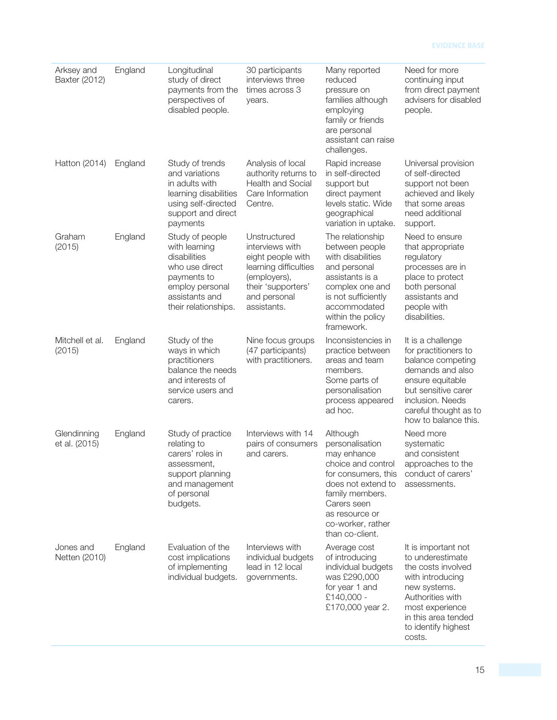#### **EVIDENCE BASE**

| Arksey and<br>Baxter (2012)  | England | Longitudinal<br>study of direct<br>payments from the<br>perspectives of<br>disabled people.                                                    | 30 participants<br>interviews three<br>times across 3<br>years.                                                                                    | Many reported<br>reduced<br>pressure on<br>families although<br>employing<br>family or friends<br>are personal<br>assistant can raise<br>challenges.                                                      | Need for more<br>continuing input<br>from direct payment<br>advisers for disabled<br>people.                                                                                                       |
|------------------------------|---------|------------------------------------------------------------------------------------------------------------------------------------------------|----------------------------------------------------------------------------------------------------------------------------------------------------|-----------------------------------------------------------------------------------------------------------------------------------------------------------------------------------------------------------|----------------------------------------------------------------------------------------------------------------------------------------------------------------------------------------------------|
| Hatton (2014)                | England | Study of trends<br>and variations<br>in adults with<br>learning disabilities<br>using self-directed<br>support and direct<br>payments          | Analysis of local<br>authority returns to<br><b>Health and Social</b><br>Care Information<br>Centre.                                               | Rapid increase<br>in self-directed<br>support but<br>direct payment<br>levels static. Wide<br>geographical<br>variation in uptake.                                                                        | Universal provision<br>of self-directed<br>support not been<br>achieved and likely<br>that some areas<br>need additional<br>support.                                                               |
| Graham<br>(2015)             | England | Study of people<br>with learning<br>disabilities<br>who use direct<br>payments to<br>employ personal<br>assistants and<br>their relationships. | Unstructured<br>interviews with<br>eight people with<br>learning difficulties<br>(employers),<br>their 'supporters'<br>and personal<br>assistants. | The relationship<br>between people<br>with disabilities<br>and personal<br>assistants is a<br>complex one and<br>is not sufficiently<br>accommodated<br>within the policy<br>framework.                   | Need to ensure<br>that appropriate<br>regulatory<br>processes are in<br>place to protect<br>both personal<br>assistants and<br>people with<br>disabilities.                                        |
| Mitchell et al.<br>(2015)    | England | Study of the<br>ways in which<br>practitioners<br>balance the needs<br>and interests of<br>service users and<br>carers.                        | Nine focus groups<br>(47 participants)<br>with practitioners.                                                                                      | Inconsistencies in<br>practice between<br>areas and team<br>members.<br>Some parts of<br>personalisation<br>process appeared<br>ad hoc.                                                                   | It is a challenge<br>for practitioners to<br>balance competing<br>demands and also<br>ensure equitable<br>but sensitive carer<br>inclusion. Needs<br>careful thought as to<br>how to balance this. |
| Glendinning<br>et al. (2015) | England | Study of practice<br>relating to<br>carers' roles in<br>assessment,<br>support planning<br>and management<br>of personal<br>budgets.           | Interviews with 14<br>pairs of consumers<br>and carers.                                                                                            | Although<br>personalisation<br>may enhance<br>choice and control<br>for consumers, this<br>does not extend to<br>family members.<br>Carers seen<br>as resource or<br>co-worker, rather<br>than co-client. | Need more<br>systematic<br>and consistent<br>approaches to the<br>conduct of carers'<br>assessments.                                                                                               |
| Jones and<br>Netten (2010)   | England | Evaluation of the<br>cost implications<br>of implementing<br>individual budgets.                                                               | Interviews with<br>individual budgets<br>lead in 12 local<br>governments.                                                                          | Average cost<br>of introducing<br>individual budgets<br>was £290,000<br>for year 1 and<br>£140,000 -<br>£170,000 year 2.                                                                                  | It is important not<br>to underestimate<br>the costs involved<br>with introducing<br>new systems.<br>Authorities with<br>most experience<br>in this area tended<br>to identify highest<br>costs.   |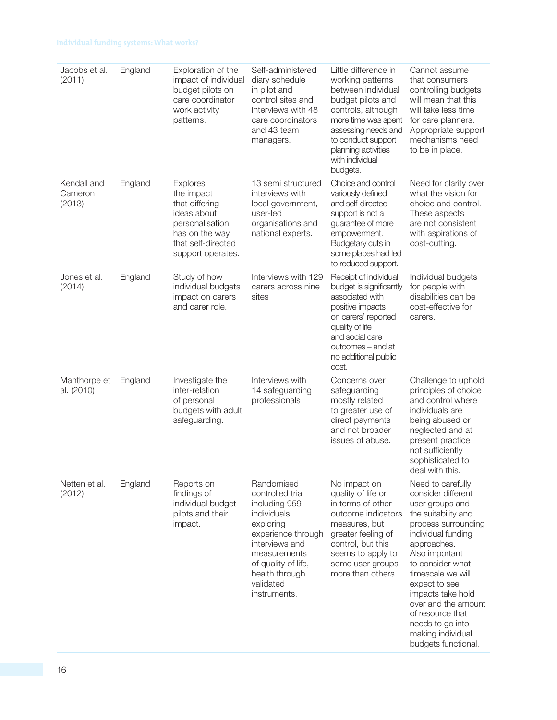| Jacobs et al.<br>(2011)          | England | Exploration of the<br>impact of individual<br>budget pilots on<br>care coordinator<br>work activity<br>patterns.                               | Self-administered<br>diary schedule<br>in pilot and<br>control sites and<br>interviews with 48<br>care coordinators<br>and 43 team<br>managers.                                                           | Little difference in<br>working patterns<br>between individual<br>budget pilots and<br>controls, although<br>more time was spent<br>assessing needs and<br>to conduct support<br>planning activities<br>with individual<br>budgets. | Cannot assume<br>that consumers<br>controlling budgets<br>will mean that this<br>will take less time<br>for care planners.<br>Appropriate support<br>mechanisms need<br>to be in place.                                                                                                                                                                   |
|----------------------------------|---------|------------------------------------------------------------------------------------------------------------------------------------------------|-----------------------------------------------------------------------------------------------------------------------------------------------------------------------------------------------------------|-------------------------------------------------------------------------------------------------------------------------------------------------------------------------------------------------------------------------------------|-----------------------------------------------------------------------------------------------------------------------------------------------------------------------------------------------------------------------------------------------------------------------------------------------------------------------------------------------------------|
| Kendall and<br>Cameron<br>(2013) | England | <b>Explores</b><br>the impact<br>that differing<br>ideas about<br>personalisation<br>has on the way<br>that self-directed<br>support operates. | 13 semi structured<br>interviews with<br>local government,<br>user-led<br>organisations and<br>national experts.                                                                                          | Choice and control<br>variously defined<br>and self-directed<br>support is not a<br>guarantee of more<br>empowerment.<br>Budgetary cuts in<br>some places had led<br>to reduced support.                                            | Need for clarity over<br>what the vision for<br>choice and control.<br>These aspects<br>are not consistent<br>with aspirations of<br>cost-cutting.                                                                                                                                                                                                        |
| Jones et al.<br>(2014)           | England | Study of how<br>individual budgets<br>impact on carers<br>and carer role.                                                                      | Interviews with 129<br>carers across nine<br>sites                                                                                                                                                        | Receipt of individual<br>budget is significantly<br>associated with<br>positive impacts<br>on carers' reported<br>quality of life<br>and social care<br>outcomes - and at<br>no additional public<br>cost.                          | Individual budgets<br>for people with<br>disabilities can be<br>cost-effective for<br>carers.                                                                                                                                                                                                                                                             |
| Manthorpe et<br>al. (2010)       | England | Investigate the<br>inter-relation<br>of personal<br>budgets with adult<br>safeguarding.                                                        | Interviews with<br>14 safeguarding<br>professionals                                                                                                                                                       | Concerns over<br>safeguarding<br>mostly related<br>to greater use of<br>direct payments<br>and not broader<br>issues of abuse.                                                                                                      | Challenge to uphold<br>principles of choice<br>and control where<br>individuals are<br>being abused or<br>neglected and at<br>present practice<br>not sufficiently<br>sophisticated to<br>deal with this.                                                                                                                                                 |
| Netten et al.<br>(2012)          | England | Reports on<br>findings of<br>individual budget<br>pilots and their<br>impact.                                                                  | Randomised<br>controlled trial<br>including 959<br>individuals<br>exploring<br>experience through<br>interviews and<br>measurements<br>of quality of life,<br>health through<br>validated<br>instruments. | No impact on<br>quality of life or<br>in terms of other<br>outcome indicators<br>measures, but<br>greater feeling of<br>control, but this<br>seems to apply to<br>some user groups<br>more than others.                             | Need to carefully<br>consider different<br>user groups and<br>the suitability and<br>process surrounding<br>individual funding<br>approaches.<br>Also important<br>to consider what<br>timescale we will<br>expect to see<br>impacts take hold<br>over and the amount<br>of resource that<br>needs to go into<br>making individual<br>budgets functional. |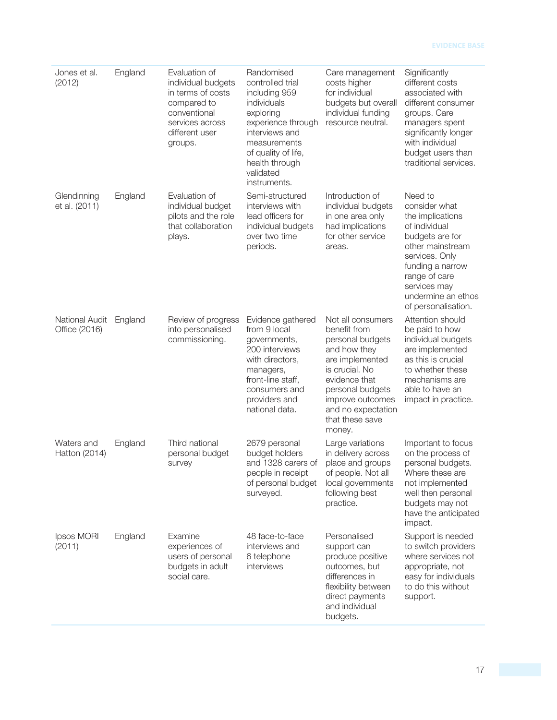#### **EVIDENCE BASE**

| Jones et al.<br>(2012)          | England | Evaluation of<br>individual budgets<br>in terms of costs<br>compared to<br>conventional<br>services across<br>different user<br>groups. | Randomised<br>controlled trial<br>including 959<br>individuals<br>exploring<br>experience through<br>interviews and<br>measurements<br>of quality of life,<br>health through<br>validated<br>instruments. | Care management<br>costs higher<br>for individual<br>budgets but overall<br>individual funding<br>resource neutral.                                                                                                    | Significantly<br>different costs<br>associated with<br>different consumer<br>groups. Care<br>managers spent<br>significantly longer<br>with individual<br>budget users than<br>traditional services.                     |
|---------------------------------|---------|-----------------------------------------------------------------------------------------------------------------------------------------|-----------------------------------------------------------------------------------------------------------------------------------------------------------------------------------------------------------|------------------------------------------------------------------------------------------------------------------------------------------------------------------------------------------------------------------------|--------------------------------------------------------------------------------------------------------------------------------------------------------------------------------------------------------------------------|
| Glendinning<br>et al. (2011)    | England | Evaluation of<br>individual budget<br>pilots and the role<br>that collaboration<br>plays.                                               | Semi-structured<br>interviews with<br>lead officers for<br>individual budgets<br>over two time<br>periods.                                                                                                | Introduction of<br>individual budgets<br>in one area only<br>had implications<br>for other service<br>areas.                                                                                                           | Need to<br>consider what<br>the implications<br>of individual<br>budgets are for<br>other mainstream<br>services. Only<br>funding a narrow<br>range of care<br>services may<br>undermine an ethos<br>of personalisation. |
| National Audit<br>Office (2016) | England | Review of progress<br>into personalised<br>commissioning.                                                                               | Evidence gathered<br>from 9 local<br>governments,<br>200 interviews<br>with directors,<br>managers,<br>front-line staff,<br>consumers and<br>providers and<br>national data.                              | Not all consumers<br>benefit from<br>personal budgets<br>and how they<br>are implemented<br>is crucial. No<br>evidence that<br>personal budgets<br>improve outcomes<br>and no expectation<br>that these save<br>money. | Attention should<br>be paid to how<br>individual budgets<br>are implemented<br>as this is crucial<br>to whether these<br>mechanisms are<br>able to have an<br>impact in practice.                                        |
| Waters and<br>Hatton (2014)     | England | Third national<br>personal budget<br>survey                                                                                             | 2679 personal<br>budget holders<br>and 1328 carers of<br>people in receipt<br>of personal budget<br>surveyed.                                                                                             | Large variations<br>in delivery across<br>place and groups<br>of people. Not all<br>local governments<br>following best<br>practice.                                                                                   | Important to focus<br>on the process of<br>personal budgets.<br>Where these are<br>not implemented<br>well then personal<br>budgets may not<br>have the anticipated<br>impact.                                           |
| Ipsos MORI<br>(2011)            | England | Examine<br>experiences of<br>users of personal<br>budgets in adult<br>social care.                                                      | 48 face-to-face<br>interviews and<br>6 telephone<br>interviews                                                                                                                                            | Personalised<br>support can<br>produce positive<br>outcomes, but<br>differences in<br>flexibility between<br>direct payments<br>and individual<br>budgets.                                                             | Support is needed<br>to switch providers<br>where services not<br>appropriate, not<br>easy for individuals<br>to do this without<br>support.                                                                             |